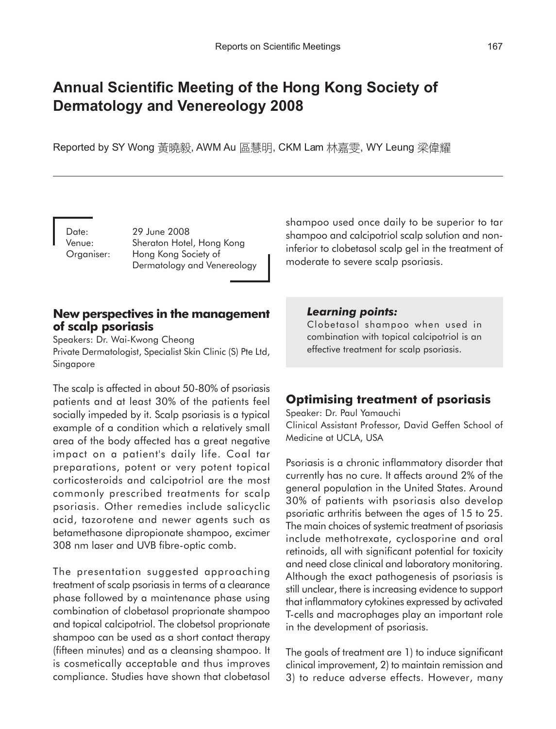# **Annual Scientific Meeting of the Hong Kong Society of Dermatology and Venereology 2008**

Reported by SY Wong 黃曉毅, AWM Au 區慧明, CKM Lam 林嘉雯, WY Leung 梁偉耀

Date: 29 June 2008 Venue: Sheraton Hotel, Hong Kong Organiser: Hong Kong Society of Dermatology and Venereology shampoo used once daily to be superior to tar shampoo and calcipotriol scalp solution and noninferior to clobetasol scalp gel in the treatment of moderate to severe scalp psoriasis.

#### **New perspectives in the management of scalp psoriasis**

Speakers: Dr. Wai-Kwong Cheong Private Dermatologist, Specialist Skin Clinic (S) Pte Ltd, Singapore

The scalp is affected in about 50-80% of psoriasis patients and at least 30% of the patients feel socially impeded by it. Scalp psoriasis is a typical example of a condition which a relatively small area of the body affected has a great negative impact on a patient's daily life. Coal tar preparations, potent or very potent topical corticosteroids and calcipotriol are the most commonly prescribed treatments for scalp psoriasis. Other remedies include salicyclic acid, tazorotene and newer agents such as betamethasone dipropionate shampoo, excimer 308 nm laser and UVB fibre-optic comb.

The presentation suggested approaching treatment of scalp psoriasis in terms of a clearance phase followed by a maintenance phase using combination of clobetasol proprionate shampoo and topical calcipotriol. The clobetsol proprionate shampoo can be used as a short contact therapy (fifteen minutes) and as a cleansing shampoo. It is cosmetically acceptable and thus improves compliance. Studies have shown that clobetasol

#### *Learning points:*

Clobetasol shampoo when used in combination with topical calcipotriol is an effective treatment for scalp psoriasis.

# **Optimising treatment of psoriasis**

Speaker: Dr. Paul Yamauchi Clinical Assistant Professor, David Geffen School of Medicine at UCLA, USA

Psoriasis is a chronic inflammatory disorder that currently has no cure. It affects around 2% of the general population in the United States. Around 30% of patients with psoriasis also develop psoriatic arthritis between the ages of 15 to 25. The main choices of systemic treatment of psoriasis include methotrexate, cyclosporine and oral retinoids, all with significant potential for toxicity and need close clinical and laboratory monitoring. Although the exact pathogenesis of psoriasis is still unclear, there is increasing evidence to support that inflammatory cytokines expressed by activated T-cells and macrophages play an important role in the development of psoriasis.

The goals of treatment are 1) to induce significant clinical improvement, 2) to maintain remission and 3) to reduce adverse effects. However, many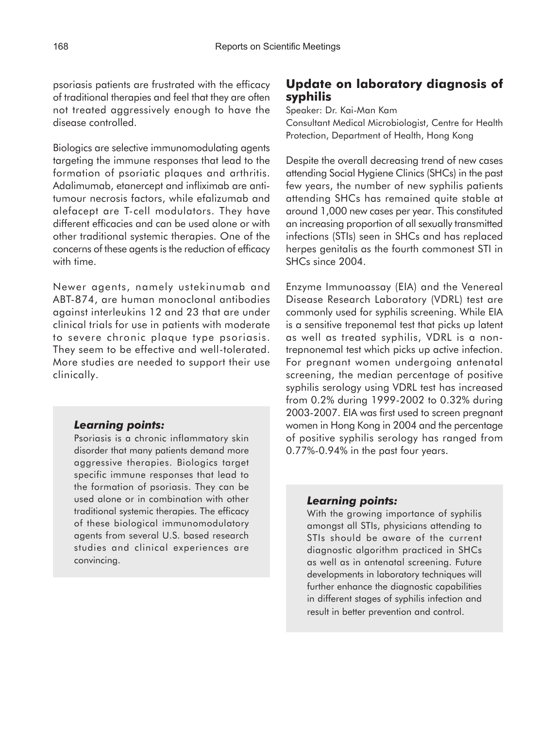psoriasis patients are frustrated with the efficacy of traditional therapies and feel that they are often not treated aggressively enough to have the disease controlled.

Biologics are selective immunomodulating agents targeting the immune responses that lead to the formation of psoriatic plaques and arthritis. Adalimumab, etanercept and infliximab are antitumour necrosis factors, while efalizumab and alefacept are T-cell modulators. They have different efficacies and can be used alone or with other traditional systemic therapies. One of the concerns of these agents is the reduction of efficacy with time.

Newer agents, namely ustekinumab and ABT-874, are human monoclonal antibodies against interleukins 12 and 23 that are under clinical trials for use in patients with moderate to severe chronic plaque type psoriasis. They seem to be effective and well-tolerated. More studies are needed to support their use clinically.

#### *Learning points:*

Psoriasis is a chronic inflammatory skin disorder that many patients demand more aggressive therapies. Biologics target specific immune responses that lead to the formation of psoriasis. They can be used alone or in combination with other traditional systemic therapies. The efficacy of these biological immunomodulatory agents from several U.S. based research studies and clinical experiences are convincing.

## **Update on laboratory diagnosis of syphilis**

Speaker: Dr. Kai-Man Kam

Consultant Medical Microbiologist, Centre for Health Protection, Department of Health, Hong Kong

Despite the overall decreasing trend of new cases attending Social Hygiene Clinics (SHCs) in the past few years, the number of new syphilis patients attending SHCs has remained quite stable at around 1,000 new cases per year. This constituted an increasing proportion of all sexually transmitted infections (STIs) seen in SHCs and has replaced herpes genitalis as the fourth commonest STI in SHCs since 2004.

Enzyme Immunoassay (EIA) and the Venereal Disease Research Laboratory (VDRL) test are commonly used for syphilis screening. While EIA is a sensitive treponemal test that picks up latent as well as treated syphilis, VDRL is a nontrepnonemal test which picks up active infection. For pregnant women undergoing antenatal screening, the median percentage of positive syphilis serology using VDRL test has increased from 0.2% during 1999-2002 to 0.32% during 2003-2007. EIA was first used to screen pregnant women in Hong Kong in 2004 and the percentage of positive syphilis serology has ranged from 0.77%-0.94% in the past four years.

#### *Learning points:*

With the growing importance of syphilis amongst all STIs, physicians attending to STIs should be aware of the current diagnostic algorithm practiced in SHCs as well as in antenatal screening. Future developments in laboratory techniques will further enhance the diagnostic capabilities in different stages of syphilis infection and result in better prevention and control.